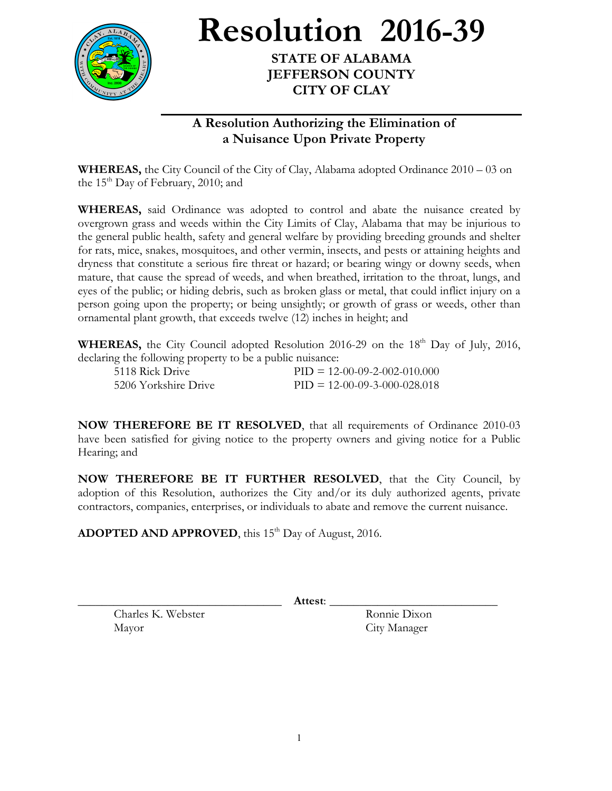

**Resolution 2016-39**

**STATE OF ALABAMA JEFFERSON COUNTY CITY OF CLAY**

## **A Resolution Authorizing the Elimination of a Nuisance Upon Private Property**

**WHEREAS,** the City Council of the City of Clay, Alabama adopted Ordinance 2010 – 03 on the  $15<sup>th</sup>$  Day of February, 2010; and

**WHEREAS,** said Ordinance was adopted to control and abate the nuisance created by overgrown grass and weeds within the City Limits of Clay, Alabama that may be injurious to the general public health, safety and general welfare by providing breeding grounds and shelter for rats, mice, snakes, mosquitoes, and other vermin, insects, and pests or attaining heights and dryness that constitute a serious fire threat or hazard; or bearing wingy or downy seeds, when mature, that cause the spread of weeds, and when breathed, irritation to the throat, lungs, and eyes of the public; or hiding debris, such as broken glass or metal, that could inflict injury on a person going upon the property; or being unsightly; or growth of grass or weeds, other than ornamental plant growth, that exceeds twelve (12) inches in height; and

**WHEREAS,** the City Council adopted Resolution 2016-29 on the 18<sup>th</sup> Day of July, 2016, declaring the following property to be a public nuisance:

| 5118 Rick Drive      | $PID = 12-00-09-2-002-010,000$ |
|----------------------|--------------------------------|
| 5206 Yorkshire Drive | $PID = 12-00-09-3-000-028.018$ |

**NOW THEREFORE BE IT RESOLVED**, that all requirements of Ordinance 2010-03 have been satisfied for giving notice to the property owners and giving notice for a Public Hearing; and

**NOW THEREFORE BE IT FURTHER RESOLVED**, that the City Council, by adoption of this Resolution, authorizes the City and/or its duly authorized agents, private contractors, companies, enterprises, or individuals to abate and remove the current nuisance.

**ADOPTED AND APPROVED**, this 15<sup>th</sup> Day of August, 2016.

\_\_\_\_\_\_\_\_\_\_\_\_\_\_\_\_\_\_\_\_\_\_\_\_\_\_\_\_\_\_\_\_\_\_ **Attest**: \_\_\_\_\_\_\_\_\_\_\_\_\_\_\_\_\_\_\_\_\_\_\_\_\_\_\_\_

Charles K. Webster Ronnie Dixon Mayor City Manager